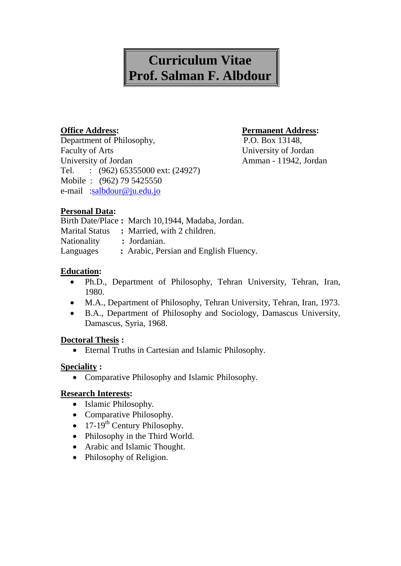# **Curriculum Vitae Prof. Salman F. Albdour**

Department of Philosophy, P.O. Box 13148, Faculty of Arts University of Jordan University of Jordan Amman - 11942, Jordan Tel. : (962) 65355000 ext: (24927) Mobile : (962) 79 5425550 e-mail [:salbdour@ju.edu.jo](mailto:salbdour@ju.edu.jo)

## **Office Address: Permanent Address:**

# **Personal Data:**

|                       | Birth Date/Place: March 10,1944, Madaba, Jordan. |
|-----------------------|--------------------------------------------------|
| <b>Marital Status</b> | : Married, with 2 children.                      |
| <b>Nationality</b>    | : Jordanian.                                     |
| Languages             | : Arabic, Persian and English Fluency.           |

# **Education:**

- Ph.D., Department of Philosophy, Tehran University, Tehran, Iran, 1980.
- M.A., Department of Philosophy, Tehran University, Tehran, Iran, 1973.
- B.A., Department of Philosophy and Sociology, Damascus University, Damascus, Syria, 1968.

# **Doctoral Thesis :**

Eternal Truths in Cartesian and Islamic Philosophy.

## **Speciality :**

Comparative Philosophy and Islamic Philosophy.

## **Research Interests:**

- Islamic Philosophy.
- Comparative Philosophy.
- $17-19^{\text{th}}$  Century Philosophy.
- Philosophy in the Third World.
- Arabic and Islamic Thought.
- Philosophy of Religion.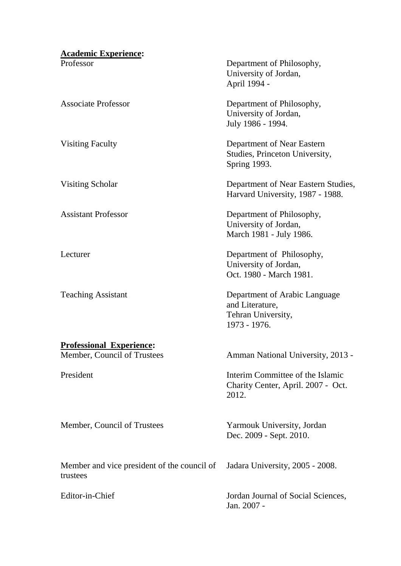#### **Academic Experience:**

# **Professional Experience:**

Member, Council of Trustees

President

Member, Council of Trustees

Member and vice president of the council of trustees

Professor Department of Philosophy, University of Jordan, April 1994 -

Associate Professor Department of Philosophy, University of Jordan, July 1986 - 1994.

Visiting Faculty Department of Near Eastern Studies, Princeton University, Spring 1993.

Visiting Scholar Department of Near Eastern Studies, Harvard University, 1987 - 1988.

Assistant Professor Department of Philosophy, University of Jordan, March 1981 - July 1986.

Lecturer Department of Philosophy, University of Jordan, Oct. 1980 - March 1981.

Teaching Assistant Department of Arabic Language and Literature, Tehran University, 1973 - 1976.

Amman National University, 2013 -

Interim Committee of the Islamic Charity Center, April. 2007 - Oct. 2012.

Yarmouk University, Jordan Dec. 2009 - Sept. 2010.

Jadara University, 2005 - 2008.

Editor-in-Chief Jordan Journal of Social Sciences, Jan. 2007 -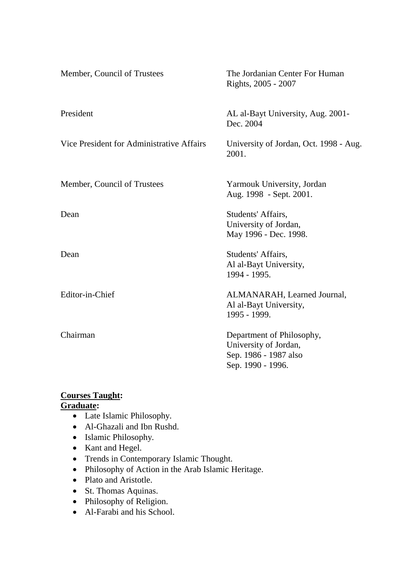| Member, Council of Trustees               | The Jordanian Center For Human<br>Rights, 2005 - 2007                                            |
|-------------------------------------------|--------------------------------------------------------------------------------------------------|
| President                                 | AL al-Bayt University, Aug. 2001-<br>Dec. 2004                                                   |
| Vice President for Administrative Affairs | University of Jordan, Oct. 1998 - Aug.<br>2001.                                                  |
| Member, Council of Trustees               | Yarmouk University, Jordan<br>Aug. 1998 - Sept. 2001.                                            |
| Dean                                      | Students' Affairs,<br>University of Jordan,<br>May 1996 - Dec. 1998.                             |
| Dean                                      | Students' Affairs,<br>Al al-Bayt University,<br>1994 - 1995.                                     |
| Editor-in-Chief                           | ALMANARAH, Learned Journal,<br>Al al-Bayt University,<br>1995 - 1999.                            |
| Chairman                                  | Department of Philosophy,<br>University of Jordan,<br>Sep. 1986 - 1987 also<br>Sep. 1990 - 1996. |

# **Courses Taught:**

# **Graduate:**

- Late Islamic Philosophy.
- Al-Ghazali and Ibn Rushd.
- Islamic Philosophy.
- Kant and Hegel.
- Trends in Contemporary Islamic Thought.
- Philosophy of Action in the Arab Islamic Heritage.
- Plato and Aristotle.
- St. Thomas Aquinas.
- Philosophy of Religion.
- Al-Farabi and his School.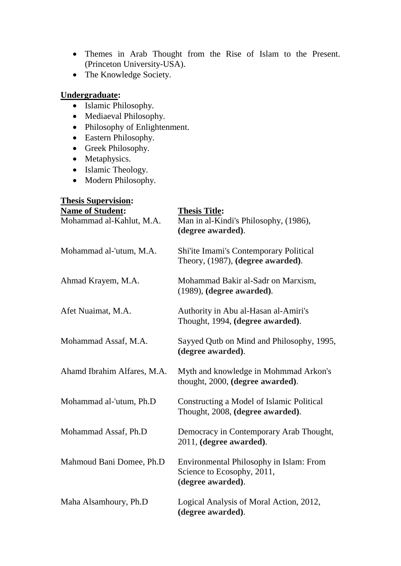- Themes in Arab Thought from the Rise of Islam to the Present. (Princeton University-USA).
- The Knowledge Society.

#### **Undergraduate:**

- Islamic Philosophy.
- Mediaeval Philosophy.
- Philosophy of Enlightenment.
- Eastern Philosophy.
- Greek Philosophy.
- Metaphysics.
- Islamic Theology.
- Modern Philosophy.

# **Thesis Supervision: Name of Student: Thesis Title:** Mohammad al-Kahlut, M.A. Man in al-Kindi's Philosophy, (1986), **(degree awarded)**. Mohammad al-'utum, M.A. Shi'ite Imami's Contemporary Political Theory, (1987), **(degree awarded)**. Ahmad Krayem, M.A. Mohammad Bakir al-Sadr on Marxism, (1989), **(degree awarded)**. Afet Nuaimat, M.A. Authority in Abu al-Hasan al-Amiri's Thought, 1994, **(degree awarded)**. Mohammad Assaf, M.A. Sayyed Qutb on Mind and Philosophy, 1995, **(degree awarded)**. Ahamd Ibrahim Alfares, M.A. Myth and knowledge in Mohmmad Arkon's thought, 2000, **(degree awarded)**. Mohammad al-'utum, Ph.D Constructing a Model of Islamic Political Thought, 2008, **(degree awarded)**. Mohammad Assaf, Ph.D Democracy in Contemporary Arab Thought, 2011, **(degree awarded)**. Mahmoud Bani Domee, Ph.D Environmental Philosophy in Islam: From Science to Ecosophy, 2011, **(degree awarded)**. Maha Alsamhoury, Ph.D Logical Analysis of Moral Action, 2012, **(degree awarded)**.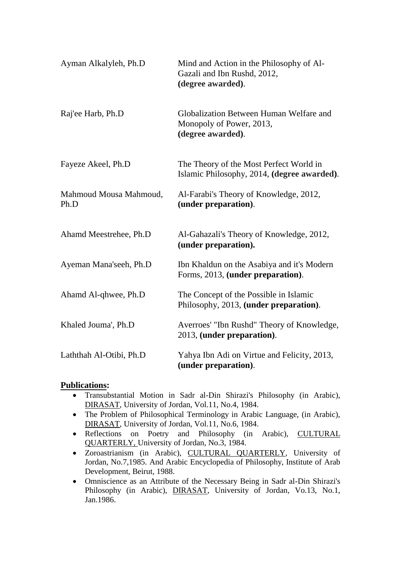| Ayman Alkalyleh, Ph.D          | Mind and Action in the Philosophy of Al-<br>Gazali and Ibn Rushd, 2012,<br>(degree awarded). |
|--------------------------------|----------------------------------------------------------------------------------------------|
| Raj'ee Harb, Ph.D              | Globalization Between Human Welfare and<br>Monopoly of Power, 2013,<br>(degree awarded).     |
| Fayeze Akeel, Ph.D             | The Theory of the Most Perfect World in<br>Islamic Philosophy, 2014, (degree awarded).       |
| Mahmoud Mousa Mahmoud,<br>Ph.D | Al-Farabi's Theory of Knowledge, 2012,<br>(under preparation).                               |
| Ahamd Meestrehee, Ph.D         | Al-Gahazali's Theory of Knowledge, 2012,<br>(under preparation).                             |
| Ayeman Mana'seeh, Ph.D         | Ibn Khaldun on the Asabiya and it's Modern<br>Forms, 2013, (under preparation).              |
| Ahamd Al-qhwee, Ph.D           | The Concept of the Possible in Islamic<br>Philosophy, 2013, (under preparation).             |
| Khaled Jouma', Ph.D            | Averroes' "Ibn Rushd" Theory of Knowledge,<br>2013, (under preparation).                     |
| Laththah Al-Otibi, Ph.D        | Yahya Ibn Adi on Virtue and Felicity, 2013,<br>(under preparation).                          |

## **Publications:**

- Transubstantial Motion in Sadr al-Din Shirazi's Philosophy (in Arabic), DIRASAT, University of Jordan, Vol.11, No.4, 1984.
- The Problem of Philosophical Terminology in Arabic Language, (in Arabic), DIRASAT, University of Jordan, Vol.11, No.6, 1984.
- Reflections on Poetry and Philosophy (in Arabic), CULTURAL QUARTERLY, University of Jordan, No.3, 1984.
- Zoroastrianism (in Arabic), CULTURAL QUARTERLY, University of Jordan, No.7,1985. And Arabic Encyclopedia of Philosophy, Institute of Arab Development, Beirut, 1988.
- Omniscience as an Attribute of the Necessary Being in Sadr al-Din Shirazi's Philosophy (in Arabic), DIRASAT, University of Jordan, Vo.13, No.1, Jan.1986.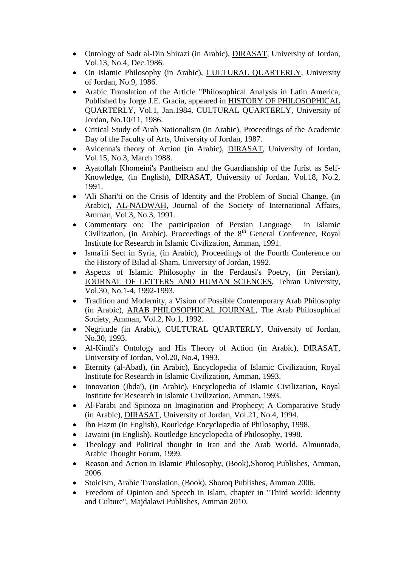- Ontology of Sadr al-Din Shirazi (in Arabic), DIRASAT, University of Jordan, Vol.13, No.4, Dec.1986.
- On Islamic Philosophy (in Arabic), CULTURAL QUARTERLY, University of Jordan, No.9, 1986.
- Arabic Translation of the Article "Philosophical Analysis in Latin America, Published by Jorge J.E. Gracia, appeared in HISTORY OF PHILOSOPHICAL QUARTERLY, Vol.1, Jan.1984. CULTURAL QUARTERLY, University of Jordan, No.10/11, 1986.
- Critical Study of Arab Nationalism (in Arabic), Proceedings of the Academic Day of the Faculty of Arts, University of Jordan, 1987.
- Avicenna's theory of Action (in Arabic), DIRASAT, University of Jordan, Vol.15, No.3, March 1988.
- Ayatollah Khomeini's Pantheism and the Guardianship of the Jurist as Self-Knowledge, (in English), DIRASAT, University of Jordan, Vol.18, No.2, 1991.
- 'Ali Shari'ti on the Crisis of Identity and the Problem of Social Change, (in Arabic), AL-NADWAH, Journal of the Society of International Affairs, Amman, Vol.3, No.3, 1991.
- Commentary on: The participation of Persian Language in Islamic Civilization, (in Arabic), Proceedings of the  $8<sup>th</sup>$  General Conference, Royal Institute for Research in Islamic Civilization, Amman, 1991.
- Isma'ili Sect in Syria, (in Arabic), Proceedings of the Fourth Conference on the History of Bilad al-Sham, University of Jordan, 1992.
- Aspects of Islamic Philosophy in the Ferdausi's Poetry, (in Persian), JOURNAL OF LETTERS AND HUMAN SCIENCES, Tehran University, Vol.30, No.1-4, 1992-1993.
- Tradition and Modernity, a Vision of Possible Contemporary Arab Philosophy (in Arabic), ARAB PHILOSOPHICAL JOURNAL, The Arab Philosophical Society, Amman, Vol.2, No.1, 1992.
- Negritude (in Arabic), CULTURAL QUARTERLY, University of Jordan, No.30, 1993.
- Al-Kindi's Ontology and His Theory of Action (in Arabic), DIRASAT, University of Jordan, Vol.20, No.4, 1993.
- Eternity (al-Abad), (in Arabic), Encyclopedia of Islamic Civilization, Royal Institute for Research in Islamic Civilization, Amman, 1993.
- Innovation (Ibda'), (in Arabic), Encyclopedia of Islamic Civilization, Royal Institute for Research in Islamic Civilization, Amman, 1993.
- Al-Farabi and Spinoza on Imagination and Prophecy; A Comparative Study (in Arabic), DIRASAT, University of Jordan, Vol.21, No.4, 1994.
- Ibn Hazm (in English), Routledge Encyclopedia of Philosophy, 1998.
- Jawaini (in English), Routledge Encyclopedia of Philosophy, 1998.
- Theology and Political thought in Iran and the Arab World, Almuntada, Arabic Thought Forum, 1999.
- Reason and Action in Islamic Philosophy, (Book),Shoroq Publishes, Amman, 2006.
- Stoicism, Arabic Translation, (Book), Shoroq Publishes, Amman 2006.
- Freedom of Opinion and Speech in Islam, chapter in "Third world: Identity and Culture", Majdalawi Publishes, Amman 2010.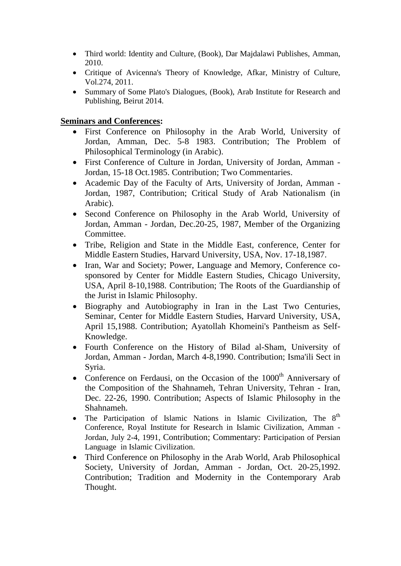- Third world: Identity and Culture, (Book), Dar Majdalawi Publishes, Amman, 2010.
- Critique of Avicenna's Theory of Knowledge, Afkar, Ministry of Culture, Vol.274, 2011.
- Summary of Some Plato's Dialogues, (Book), Arab Institute for Research and Publishing, Beirut 2014.

## **Seminars and Conferences:**

- First Conference on Philosophy in the Arab World, University of Jordan, Amman, Dec. 5-8 1983. Contribution; The Problem of Philosophical Terminology (in Arabic).
- First Conference of Culture in Jordan, University of Jordan, Amman Jordan, 15-18 Oct.1985. Contribution; Two Commentaries.
- Academic Day of the Faculty of Arts, University of Jordan, Amman Jordan, 1987, Contribution; Critical Study of Arab Nationalism (in Arabic).
- Second Conference on Philosophy in the Arab World, University of Jordan, Amman - Jordan, Dec.20-25, 1987, Member of the Organizing Committee.
- Tribe, Religion and State in the Middle East, conference, Center for Middle Eastern Studies, Harvard University, USA, Nov. 17-18,1987.
- Iran, War and Society: Power, Language and Memory, Conference cosponsored by Center for Middle Eastern Studies, Chicago University, USA, April 8-10,1988. Contribution; The Roots of the Guardianship of the Jurist in Islamic Philosophy.
- Biography and Autobiography in Iran in the Last Two Centuries, Seminar, Center for Middle Eastern Studies, Harvard University, USA, April 15,1988. Contribution; Ayatollah Khomeini's Pantheism as Self-Knowledge.
- Fourth Conference on the History of Bilad al-Sham, University of Jordan, Amman - Jordan, March 4-8,1990. Contribution; Isma'ili Sect in Syria.
- Conference on Ferdausi, on the Occasion of the  $1000<sup>th</sup>$  Anniversary of the Composition of the Shahnameh, Tehran University, Tehran - Iran, Dec. 22-26, 1990. Contribution; Aspects of Islamic Philosophy in the Shahnameh.
- The Participation of Islamic Nations in Islamic Civilization, The  $8<sup>th</sup>$ Conference, Royal Institute for Research in Islamic Civilization, Amman - Jordan, July 2-4, 1991, Contribution; Commentary: Participation of Persian Language in Islamic Civilization.
- Third Conference on Philosophy in the Arab World, Arab Philosophical Society, University of Jordan, Amman - Jordan, Oct. 20-25,1992. Contribution; Tradition and Modernity in the Contemporary Arab Thought.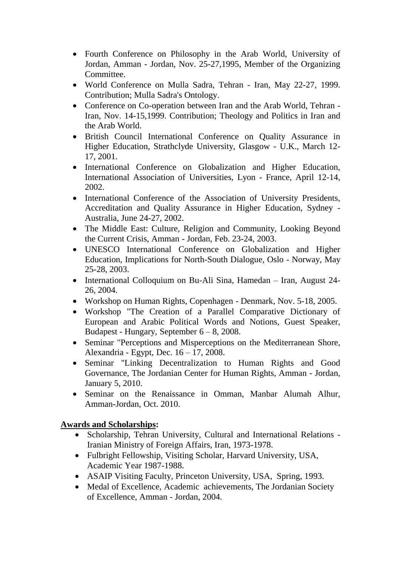- Fourth Conference on Philosophy in the Arab World, University of Jordan, Amman - Jordan, Nov. 25-27,1995, Member of the Organizing Committee.
- World Conference on Mulla Sadra, Tehran Iran, May 22-27, 1999. Contribution; Mulla Sadra's Ontology.
- Conference on Co-operation between Iran and the Arab World, Tehran Iran, Nov. 14-15,1999. Contribution; Theology and Politics in Iran and the Arab World.
- British Council International Conference on Quality Assurance in Higher Education, Strathclyde University, Glasgow - U.K., March 12- 17, 2001.
- International Conference on Globalization and Higher Education, International Association of Universities, Lyon - France, April 12-14, 2002.
- International Conference of the Association of University Presidents, Accreditation and Quality Assurance in Higher Education, Sydney - Australia, June 24-27, 2002.
- The Middle East: Culture, Religion and Community, Looking Beyond the Current Crisis, Amman - Jordan, Feb. 23-24, 2003.
- UNESCO International Conference on Globalization and Higher Education, Implications for North-South Dialogue, Oslo - Norway, May 25-28, 2003.
- International Colloquium on Bu-Ali Sina, Hamedan Iran, August 24-26, 2004.
- Workshop on Human Rights, Copenhagen Denmark, Nov. 5-18, 2005.
- Workshop "The Creation of a Parallel Comparative Dictionary of European and Arabic Political Words and Notions, Guest Speaker, Budapest - Hungary, September  $6 - 8$ , 2008.
- Seminar "Perceptions and Misperceptions on the Mediterranean Shore, Alexandria - Egypt, Dec. 16 – 17, 2008.
- Seminar "Linking Decentralization to Human Rights and Good Governance, The Jordanian Center for Human Rights, Amman - Jordan, January 5, 2010.
- Seminar on the Renaissance in Omman, Manbar Alumah Alhur, Amman-Jordan, Oct. 2010.

# **Awards and Scholarships:**

- Scholarship, Tehran University, Cultural and International Relations -Iranian Ministry of Foreign Affairs, Iran, 1973-1978.
- Fulbright Fellowship, Visiting Scholar, Harvard University, USA, Academic Year 1987-1988.
- ASAIP Visiting Faculty, Princeton University, USA, Spring, 1993.
- Medal of Excellence, Academic achievements, The Jordanian Society of Excellence, Amman - Jordan, 2004.